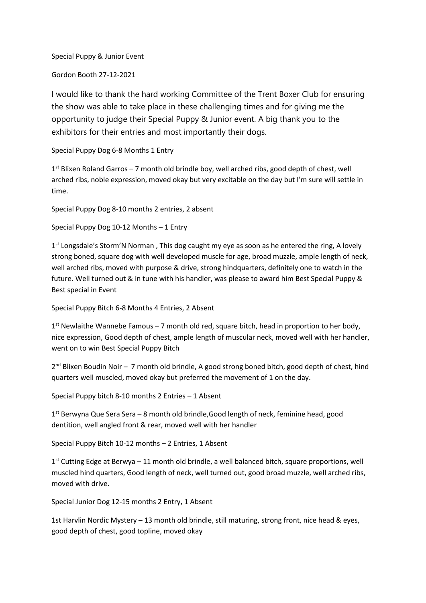Special Puppy & Junior Event

Gordon Booth 27-12-2021

I would like to thank the hard working Committee of the Trent Boxer Club for ensuring the show was able to take place in these challenging times and for giving me the opportunity to judge their Special Puppy & Junior event. A big thank you to the exhibitors for their entries and most importantly their dogs.

Special Puppy Dog 6-8 Months 1 Entry

1<sup>st</sup> Blixen Roland Garros - 7 month old brindle boy, well arched ribs, good depth of chest, well arched ribs, noble expression, moved okay but very excitable on the day but I'm sure will settle in time.

Special Puppy Dog 8-10 months 2 entries, 2 absent

Special Puppy Dog 10-12 Months – 1 Entry

1<sup>st</sup> Longsdale's Storm'N Norman, This dog caught my eye as soon as he entered the ring, A lovely strong boned, square dog with well developed muscle for age, broad muzzle, ample length of neck, well arched ribs, moved with purpose & drive, strong hindquarters, definitely one to watch in the future. Well turned out & in tune with his handler, was please to award him Best Special Puppy & Best special in Event

Special Puppy Bitch 6-8 Months 4 Entries, 2 Absent

1<sup>st</sup> Newlaithe Wannebe Famous - 7 month old red, square bitch, head in proportion to her body, nice expression, Good depth of chest, ample length of muscular neck, moved well with her handler, went on to win Best Special Puppy Bitch

2<sup>nd</sup> Blixen Boudin Noir - 7 month old brindle, A good strong boned bitch, good depth of chest, hind quarters well muscled, moved okay but preferred the movement of 1 on the day.

Special Puppy bitch 8-10 months 2 Entries – 1 Absent

1<sup>st</sup> Berwyna Que Sera Sera - 8 month old brindle, Good length of neck, feminine head, good dentition, well angled front & rear, moved well with her handler

Special Puppy Bitch 10-12 months – 2 Entries, 1 Absent

1<sup>st</sup> Cutting Edge at Berwya - 11 month old brindle, a well balanced bitch, square proportions, well muscled hind quarters, Good length of neck, well turned out, good broad muzzle, well arched ribs, moved with drive.

Special Junior Dog 12-15 months 2 Entry, 1 Absent

1st Harvlin Nordic Mystery – 13 month old brindle, still maturing, strong front, nice head & eyes, good depth of chest, good topline, moved okay